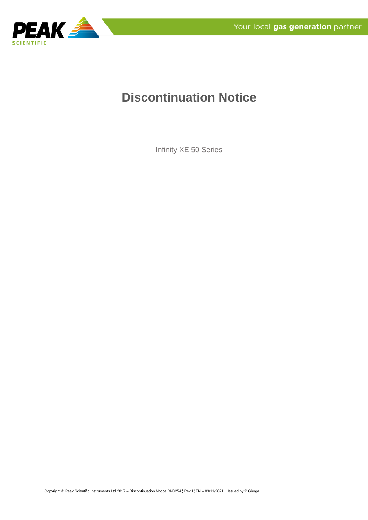

# **Discontinuation Notice**

Infinity XE 50 Series